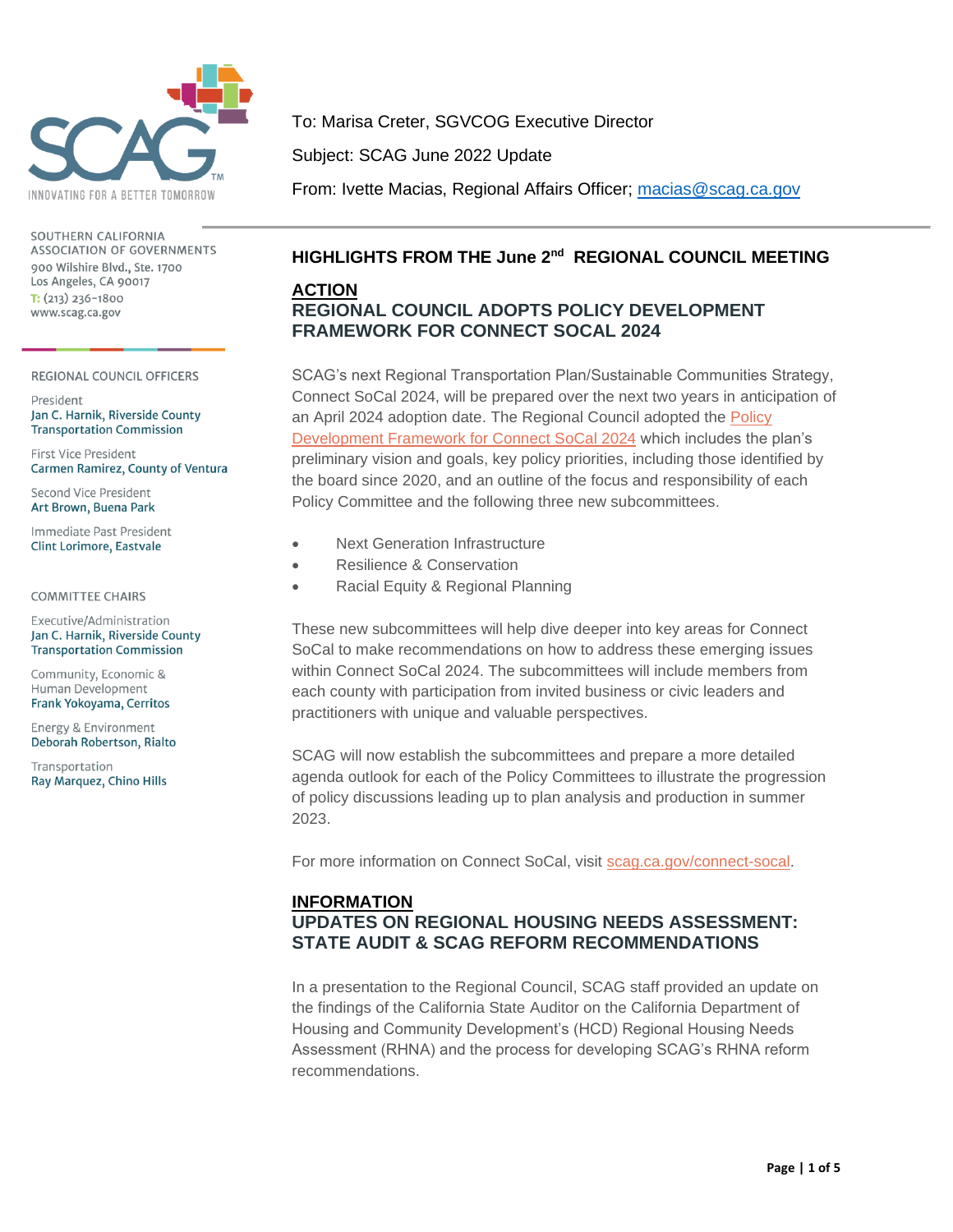

SOUTHERN CALIFORNIA ASSOCIATION OF GOVERNMENTS 900 Wilshire Blvd., Ste. 1700 Los Angeles, CA 90017  $T: (213) 236 - 1800$ www.scag.ca.gov

REGIONAL COUNCIL OFFICERS

President Jan C. Harnik, Riverside County **Transportation Commission** 

First Vice President Carmen Ramirez, County of Ventura

Second Vice President Art Brown, Buena Park

Immediate Past President **Clint Lorimore, Eastvale** 

#### **COMMITTEE CHAIRS**

Executive/Administration Jan C. Harnik, Riverside County **Transportation Commission** 

Community, Economic & Human Development Frank Yokoyama, Cerritos

Energy & Environment Deborah Robertson, Rialto

Transportation Ray Marquez, Chino Hills To: Marisa Creter, SGVCOG Executive Director

Subject: SCAG June 2022 Update

From: Ivette Macias, Regional Affairs Officer; [macias@scag.ca.gov](mailto:macias@scag.ca.gov)

## **HIGHLIGHTS FROM THE June 2nd REGIONAL COUNCIL MEETING**

#### **ACTION REGIONAL COUNCIL ADOPTS POLICY DEVELOPMENT FRAMEWORK FOR CONNECT SOCAL 2024**

SCAG's next Regional Transportation Plan/Sustainable Communities Strategy, Connect SoCal 2024, will be prepared over the next two years in anticipation of an April 2024 adoption date. The Regional Council adopted the [Policy](https://scag.ca.gov/sites/main/files/file-attachments/rc060222fullpacket.pdf?1653617412#page=23)  [Development Framework for Connect SoCal 2024](https://scag.ca.gov/sites/main/files/file-attachments/rc060222fullpacket.pdf?1653617412#page=23) which includes the plan's preliminary vision and goals, key policy priorities, including those identified by the board since 2020, and an outline of the focus and responsibility of each Policy Committee and the following three new subcommittees.

- Next Generation Infrastructure
- Resilience & Conservation
- Racial Equity & Regional Planning

These new subcommittees will help dive deeper into key areas for Connect SoCal to make recommendations on how to address these emerging issues within Connect SoCal 2024. The subcommittees will include members from each county with participation from invited business or civic leaders and practitioners with unique and valuable perspectives.

SCAG will now establish the subcommittees and prepare a more detailed agenda outlook for each of the Policy Committees to illustrate the progression of policy discussions leading up to plan analysis and production in summer 2023.

For more information on Connect SoCal, visit [scag.ca.gov/connect-socal.](https://scag.ca.gov/connect-socal)

## **INFORMATION UPDATES ON REGIONAL HOUSING NEEDS ASSESSMENT: STATE AUDIT & SCAG REFORM RECOMMENDATIONS**

In a presentation to the Regional Council, SCAG staff provided an update on the findings of the California State Auditor on the California Department of Housing and Community Development's (HCD) Regional Housing Needs Assessment (RHNA) and the process for developing SCAG's RHNA reform recommendations.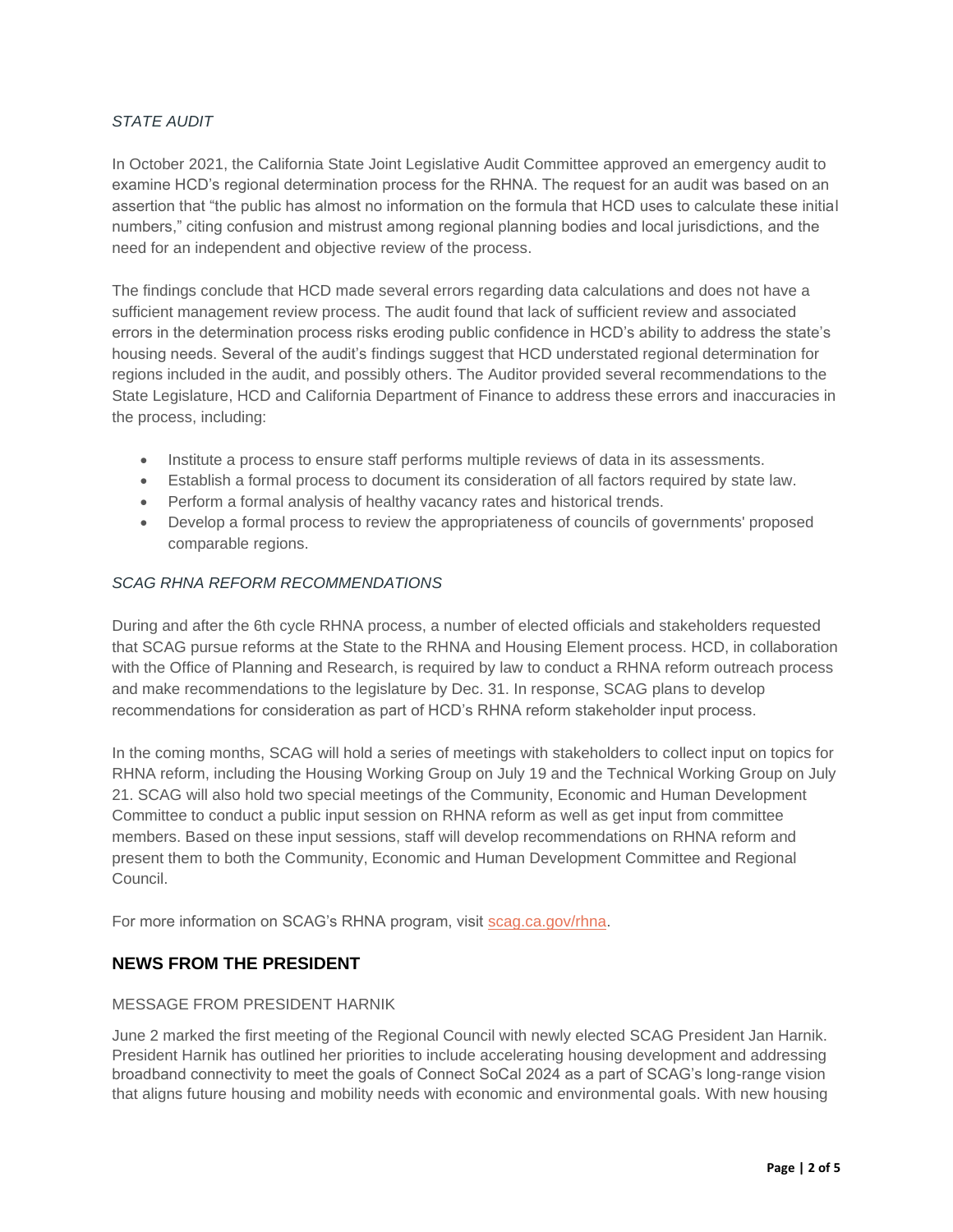#### *STATE AUDIT*

In October 2021, the California State Joint Legislative Audit Committee approved an emergency audit to examine HCD's regional determination process for the RHNA. The request for an audit was based on an assertion that "the public has almost no information on the formula that HCD uses to calculate these initial numbers," citing confusion and mistrust among regional planning bodies and local jurisdictions, and the need for an independent and objective review of the process.

The findings conclude that HCD made several errors regarding data calculations and does not have a sufficient management review process. The audit found that lack of sufficient review and associated errors in the determination process risks eroding public confidence in HCD's ability to address the state's housing needs. Several of the audit's findings suggest that HCD understated regional determination for regions included in the audit, and possibly others. The Auditor provided several recommendations to the State Legislature, HCD and California Department of Finance to address these errors and inaccuracies in the process, including:

- Institute a process to ensure staff performs multiple reviews of data in its assessments.
- Establish a formal process to document its consideration of all factors required by state law.
- Perform a formal analysis of healthy vacancy rates and historical trends.
- Develop a formal process to review the appropriateness of councils of governments' proposed comparable regions.

#### *SCAG RHNA REFORM RECOMMENDATIONS*

During and after the 6th cycle RHNA process, a number of elected officials and stakeholders requested that SCAG pursue reforms at the State to the RHNA and Housing Element process. HCD, in collaboration with the Office of Planning and Research, is required by law to conduct a RHNA reform outreach process and make recommendations to the legislature by Dec. 31. In response, SCAG plans to develop recommendations for consideration as part of HCD's RHNA reform stakeholder input process.

In the coming months, SCAG will hold a series of meetings with stakeholders to collect input on topics for RHNA reform, including the Housing Working Group on July 19 and the Technical Working Group on July 21. SCAG will also hold two special meetings of the Community, Economic and Human Development Committee to conduct a public input session on RHNA reform as well as get input from committee members. Based on these input sessions, staff will develop recommendations on RHNA reform and present them to both the Community, Economic and Human Development Committee and Regional Council.

For more information on SCAG's RHNA program, visit [scag.ca.gov/rhna.](https://scag.ca.gov/rhna)

## **NEWS FROM THE PRESIDENT**

#### MESSAGE FROM PRESIDENT HARNIK

June 2 marked the first meeting of the Regional Council with newly elected SCAG President Jan Harnik. President Harnik has outlined her priorities to include accelerating housing development and addressing broadband connectivity to meet the goals of Connect SoCal 2024 as a part of SCAG's long-range vision that aligns future housing and mobility needs with economic and environmental goals. With new housing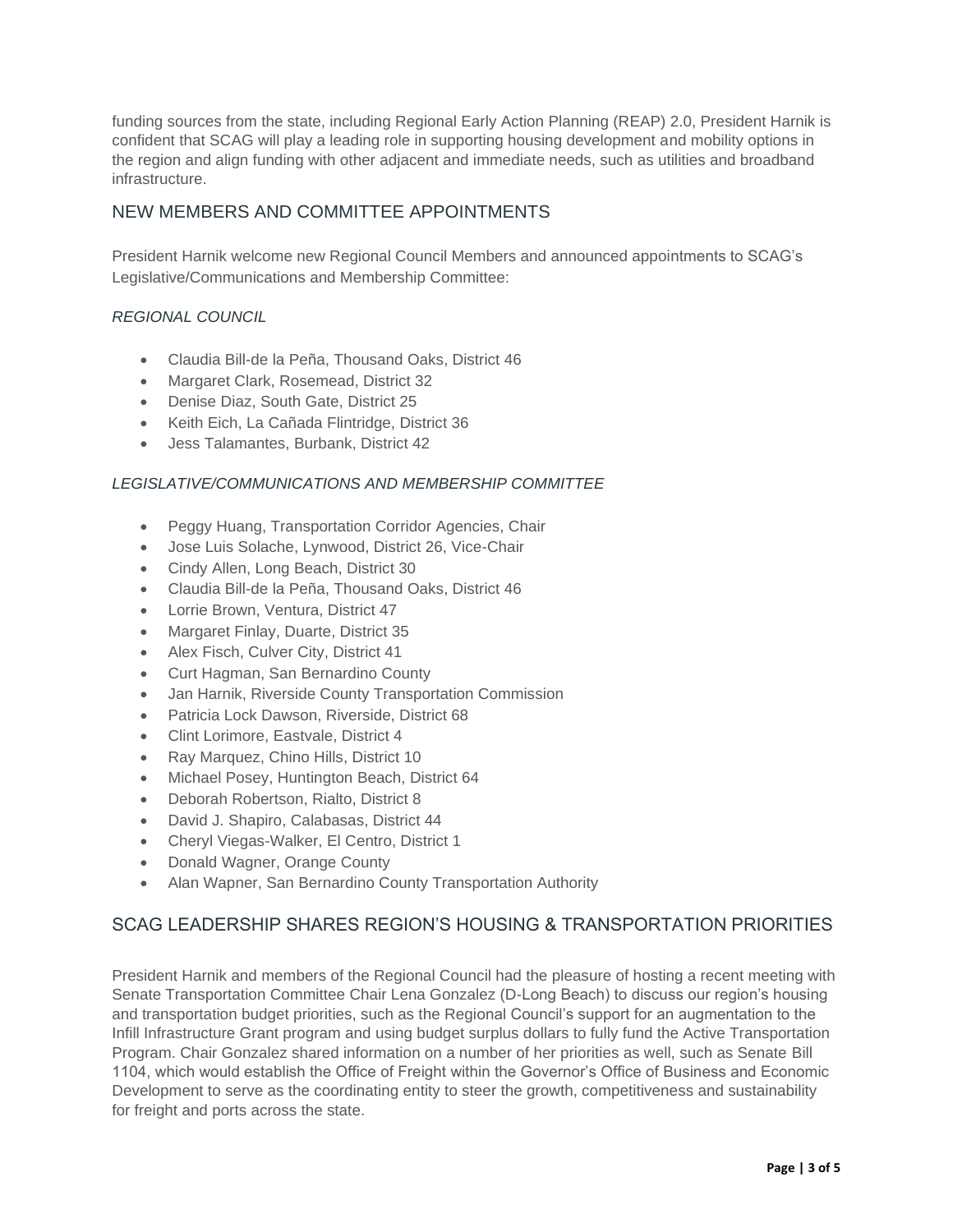funding sources from the state, including Regional Early Action Planning (REAP) 2.0, President Harnik is confident that SCAG will play a leading role in supporting housing development and mobility options in the region and align funding with other adjacent and immediate needs, such as utilities and broadband infrastructure.

# NEW MEMBERS AND COMMITTEE APPOINTMENTS

President Harnik welcome new Regional Council Members and announced appointments to SCAG's Legislative/Communications and Membership Committee:

## *REGIONAL COUNCIL*

- Claudia Bill-de la Peña, Thousand Oaks, District 46
- Margaret Clark, Rosemead, District 32
- Denise Diaz, South Gate, District 25
- Keith Eich, La Cañada Flintridge, District 36
- Jess Talamantes, Burbank, District 42

#### *LEGISLATIVE/COMMUNICATIONS AND MEMBERSHIP COMMITTEE*

- Peggy Huang, Transportation Corridor Agencies, Chair
- Jose Luis Solache, Lynwood, District 26, Vice-Chair
- Cindy Allen, Long Beach, District 30
- Claudia Bill-de la Peña, Thousand Oaks, District 46
- Lorrie Brown, Ventura, District 47
- Margaret Finlay, Duarte, District 35
- Alex Fisch, Culver City, District 41
- Curt Hagman, San Bernardino County
- Jan Harnik, Riverside County Transportation Commission
- Patricia Lock Dawson, Riverside, District 68
- Clint Lorimore, Eastvale, District 4
- Ray Marquez, Chino Hills, District 10
- Michael Posey, Huntington Beach, District 64
- Deborah Robertson, Rialto, District 8
- David J. Shapiro, Calabasas, District 44
- Cheryl Viegas-Walker, El Centro, District 1
- Donald Wagner, Orange County
- Alan Wapner, San Bernardino County Transportation Authority

## SCAG LEADERSHIP SHARES REGION'S HOUSING & TRANSPORTATION PRIORITIES

President Harnik and members of the Regional Council had the pleasure of hosting a recent meeting with Senate Transportation Committee Chair Lena Gonzalez (D-Long Beach) to discuss our region's housing and transportation budget priorities, such as the Regional Council's support for an augmentation to the Infill Infrastructure Grant program and using budget surplus dollars to fully fund the Active Transportation Program. Chair Gonzalez shared information on a number of her priorities as well, such as Senate Bill 1104, which would establish the Office of Freight within the Governor's Office of Business and Economic Development to serve as the coordinating entity to steer the growth, competitiveness and sustainability for freight and ports across the state.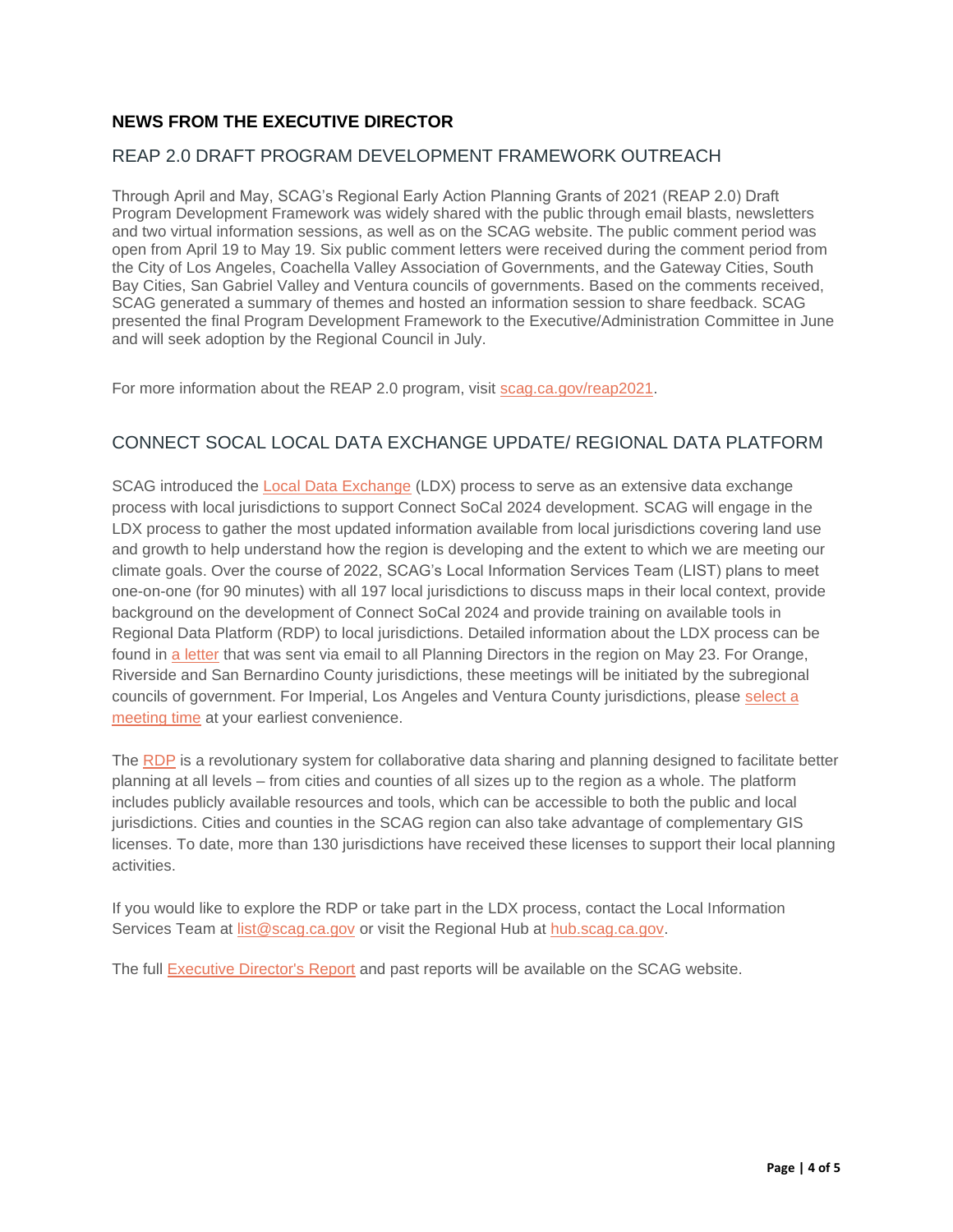## **NEWS FROM THE EXECUTIVE DIRECTOR**

## REAP 2.0 DRAFT PROGRAM DEVELOPMENT FRAMEWORK OUTREACH

Through April and May, SCAG's Regional Early Action Planning Grants of 2021 (REAP 2.0) Draft Program Development Framework was widely shared with the public through email blasts, newsletters and two virtual information sessions, as well as on the SCAG website. The public comment period was open from April 19 to May 19. Six public comment letters were received during the comment period from the City of Los Angeles, Coachella Valley Association of Governments, and the Gateway Cities, South Bay Cities, San Gabriel Valley and Ventura councils of governments. Based on the comments received, SCAG generated a summary of themes and hosted an information session to share feedback. SCAG presented the final Program Development Framework to the Executive/Administration Committee in June and will seek adoption by the Regional Council in July.

For more information about the REAP 2.0 program, visit [scag.ca.gov/reap2021.](https://scag.ca.gov/reap2021)

## CONNECT SOCAL LOCAL DATA EXCHANGE UPDATE/ REGIONAL DATA PLATFORM

SCAG introduced the [Local Data Exchange](https://scag.ca.gov/local-data-exchange) (LDX) process to serve as an extensive data exchange process with local jurisdictions to support Connect SoCal 2024 development. SCAG will engage in the LDX process to gather the most updated information available from local jurisdictions covering land use and growth to help understand how the region is developing and the extent to which we are meeting our climate goals. Over the course of 2022, SCAG's Local Information Services Team (LIST) plans to meet one-on-one (for 90 minutes) with all 197 local jurisdictions to discuss maps in their local context, provide background on the development of Connect SoCal 2024 and provide training on available tools in Regional Data Platform (RDP) to local jurisdictions. Detailed information about the LDX process can be found in [a letter](https://mcusercontent.com/6d9ce5b9d2344154fc34fcc09/files/1dc2f215-49a5-c36d-8241-4b5e12dfd077/SCAG_LDX_IMLAVT_052322.pdf) that was sent via email to all Planning Directors in the region on May 23. For Orange, Riverside and San Bernardino County jurisdictions, these meetings will be initiated by the subregional councils of government. For Imperial, Los Angeles and Ventura County jurisdictions, please [select a](https://form.jotform.com/221015949261150)  [meeting time](https://form.jotform.com/221015949261150) at your earliest convenience.

The [RDP](https://hub.scag.ca.gov/) is a revolutionary system for collaborative data sharing and planning designed to facilitate better planning at all levels – from cities and counties of all sizes up to the region as a whole. The platform includes publicly available resources and tools, which can be accessible to both the public and local jurisdictions. Cities and counties in the SCAG region can also take advantage of complementary GIS licenses. To date, more than 130 jurisdictions have received these licenses to support their local planning activities.

If you would like to explore the RDP or take part in the LDX process, contact the Local Information Services Team at [list@scag.ca.gov](mailto:list@scag.ca.gov?subject=RDP%2FLDX%20Inquiry) or visit the Regional Hub at [hub.scag.ca.gov.](https://hub.scag.ca.gov/)

The full [Executive Director's Report](https://scag.ca.gov/executive-directors-monthly-reports) and past reports will be available on the SCAG website.